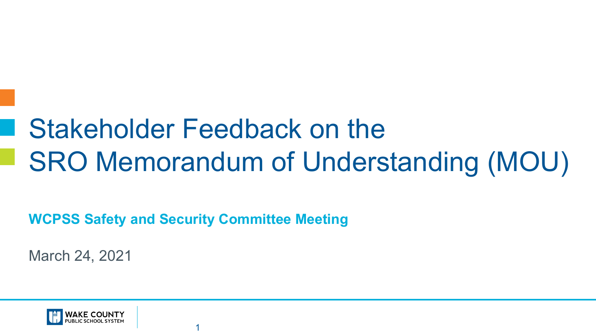# Stakeholder Feedback on the SRO Memorandum of Understanding (MOU)

**WCPSS Safety and Security Committee Meeting**

1

March 24, 2021

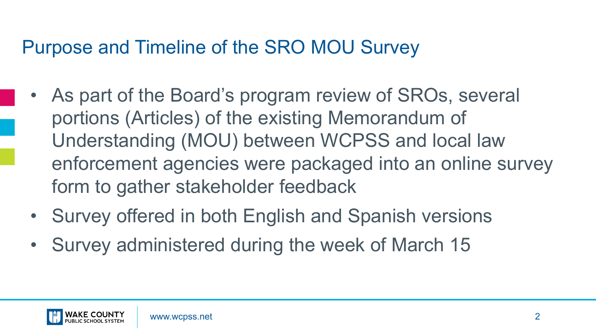#### Purpose and Timeline of the SRO MOU Survey

- As part of the Board's program review of SROs, several portions (Articles) of the existing Memorandum of Understanding (MOU) between WCPSS and local law enforcement agencies were packaged into an online survey form to gather stakeholder feedback
- Survey offered in both English and Spanish versions
- Survey administered during the week of March 15

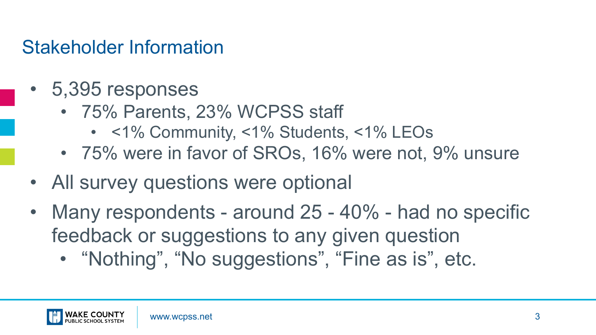#### Stakeholder Information

- 5,395 responses
	- 75% Parents, 23% WCPSS staff
		- <1% Community, <1% Students, <1% LEOs
	- 75% were in favor of SROs, 16% were not, 9% unsure
- All survey questions were optional
- Many respondents around 25 40% had no specific feedback or suggestions to any given question
	- "Nothing", "No suggestions", "Fine as is", etc.

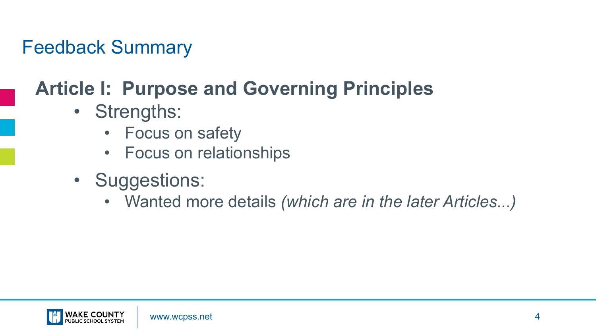## **Article I: Purpose and Governing Principles**

- Strengths:
	- Focus on safety
	- Focus on relationships
- Suggestions:
	- Wanted more details *(which are in the later Articles...)*

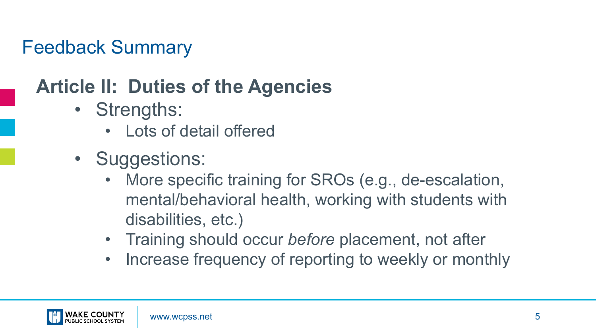#### **Article II: Duties of the Agencies**

- Strengths:
	- Lots of detail offered
- Suggestions:
	- More specific training for SROs (e.g., de-escalation, mental/behavioral health, working with students with disabilities, etc.)
	- Training should occur *before* placement, not after
	- Increase frequency of reporting to weekly or monthly

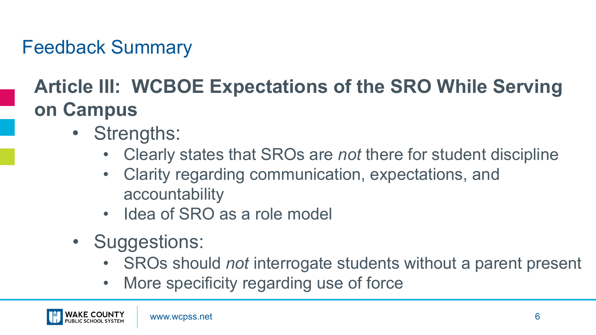## **Article III: WCBOE Expectations of the SRO While Serving on Campus**

- Strengths:
	- Clearly states that SROs are *not* there for student discipline
	- Clarity regarding communication, expectations, and accountability
	- Idea of SRO as a role model
- Suggestions:
	- SROs should *not* interrogate students without a parent present
	- More specificity regarding use of force

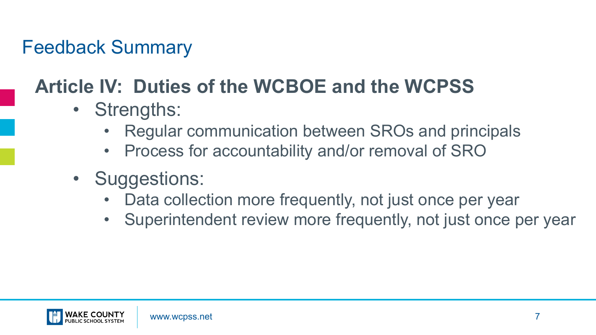## **Article IV: Duties of the WCBOE and the WCPSS**

- Strengths:
	- Regular communication between SROs and principals
	- Process for accountability and/or removal of SRO
- Suggestions:
	- Data collection more frequently, not just once per year
	- Superintendent review more frequently, not just once per year

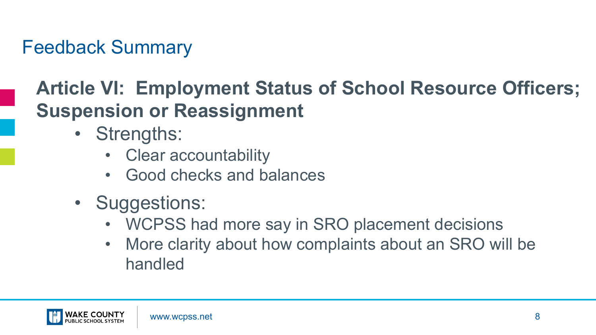#### **Article VI: Employment Status of School Resource Officers; Suspension or Reassignment**

- Strengths:
	- Clear accountability
	- Good checks and balances
- Suggestions:
	- WCPSS had more say in SRO placement decisions
	- More clarity about how complaints about an SRO will be handled

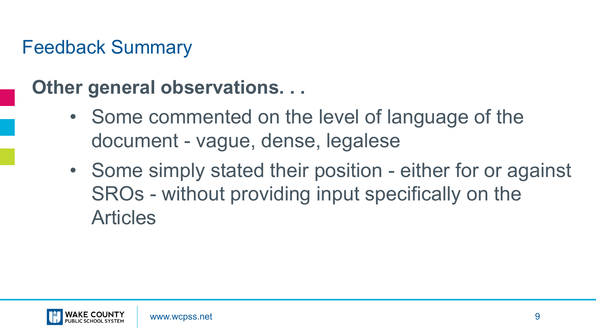#### **Other general observations. . .**

- Some commented on the level of language of the document - vague, dense, legalese
- Some simply stated their position either for or against SROs - without providing input specifically on the Articles